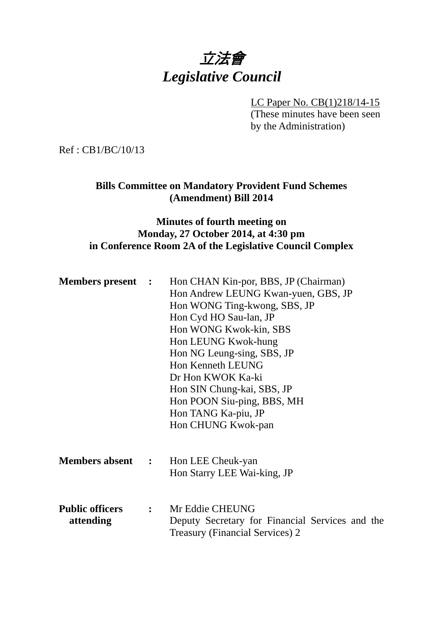# 立法會 *Legislative Council*

LC Paper No. CB(1)218/14-15

(These minutes have been seen by the Administration)

Ref : CB1/BC/10/13

# **Bills Committee on Mandatory Provident Fund Schemes (Amendment) Bill 2014**

# **Minutes of fourth meeting on Monday, 27 October 2014, at 4:30 pm in Conference Room 2A of the Legislative Council Complex**

| <b>Members present</b> : | Hon CHAN Kin-por, BBS, JP (Chairman)                                                      |
|--------------------------|-------------------------------------------------------------------------------------------|
|                          | Hon Andrew LEUNG Kwan-yuen, GBS, JP                                                       |
|                          | Hon WONG Ting-kwong, SBS, JP                                                              |
|                          | Hon Cyd HO Sau-lan, JP                                                                    |
|                          | Hon WONG Kwok-kin, SBS                                                                    |
|                          | Hon LEUNG Kwok-hung                                                                       |
|                          | Hon NG Leung-sing, SBS, JP                                                                |
|                          | Hon Kenneth LEUNG                                                                         |
|                          | Dr Hon KWOK Ka-ki                                                                         |
|                          | Hon SIN Chung-kai, SBS, JP                                                                |
|                          | Hon POON Siu-ping, BBS, MH                                                                |
|                          | Hon TANG Ka-piu, JP                                                                       |
|                          | Hon CHUNG Kwok-pan                                                                        |
|                          |                                                                                           |
|                          | <b>Members absent : Hon LEE Cheuk-yan</b>                                                 |
|                          | Hon Starry LEE Wai-king, JP                                                               |
|                          |                                                                                           |
| <b>Public officers</b>   | : Mr Eddie CHEUNG                                                                         |
| attending                | Deputy Secretary for Financial Services and the<br><b>Treasury (Financial Services) 2</b> |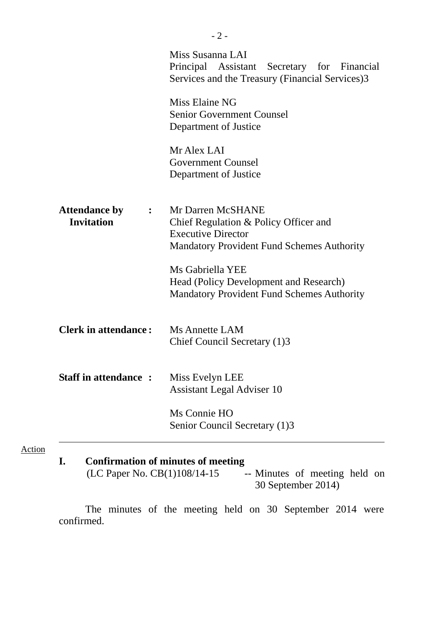|                                                             | Miss Susanna LAI<br>Principal Assistant Secretary for Financial<br>Services and the Treasury (Financial Services)3                           |
|-------------------------------------------------------------|----------------------------------------------------------------------------------------------------------------------------------------------|
|                                                             | Miss Elaine NG<br><b>Senior Government Counsel</b><br>Department of Justice                                                                  |
|                                                             | Mr Alex LAI<br><b>Government Counsel</b><br>Department of Justice                                                                            |
| <b>Attendance by</b><br>$\ddot{\cdot}$<br><b>Invitation</b> | Mr Darren McSHANE<br>Chief Regulation & Policy Officer and<br><b>Executive Director</b><br><b>Mandatory Provident Fund Schemes Authority</b> |
|                                                             | Ms Gabriella YEE<br>Head (Policy Development and Research)<br><b>Mandatory Provident Fund Schemes Authority</b>                              |
| <b>Clerk in attendance:</b>                                 | <b>Ms Annette LAM</b><br>Chief Council Secretary (1)3                                                                                        |
| <b>Staff in attendance:</b>                                 | Miss Evelyn LEE<br><b>Assistant Legal Adviser 10</b>                                                                                         |
|                                                             | Ms Connie HO<br>Senior Council Secretary (1)3                                                                                                |
|                                                             |                                                                                                                                              |

Action

**I. Confirmation of minutes of meeting**<br>(LC Paper No. CB(1)108/14-15 -- Minutes of meeting held on (LC Paper No. CB(1)108/14-15 30 September 2014)

 The minutes of the meeting held on 30 September 2014 were confirmed.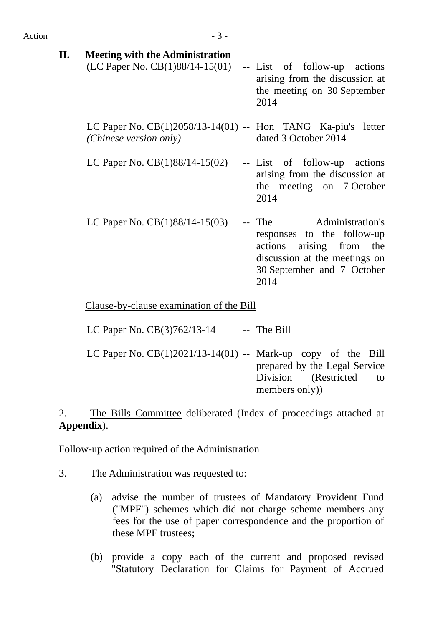| II. | <b>Meeting with the Administration</b><br>(LC Paper No. $CB(1)88/14-15(01)$              | -- List of follow-up actions<br>arising from the discussion at<br>the meeting on 30 September<br>2014                                                    |
|-----|------------------------------------------------------------------------------------------|----------------------------------------------------------------------------------------------------------------------------------------------------------|
|     | LC Paper No. $CB(1)2058/13-14(01)$ -- Hon TANG Ka-piu's letter<br>(Chinese version only) | dated 3 October 2014                                                                                                                                     |
|     | LC Paper No. $CB(1)88/14-15(02)$ -- List of follow-up actions                            | arising from the discussion at<br>the meeting on 7 October<br>2014                                                                                       |
|     | LC Paper No. $CB(1)88/14-15(03)$                                                         | -- The Administration's<br>responses to the follow-up<br>actions arising from the<br>discussion at the meetings on<br>30 September and 7 October<br>2014 |
|     | Clause-by-clause examination of the Bill                                                 |                                                                                                                                                          |

LC Paper No.  $CB(3)762/13-14$  -- The Bill

LC Paper No. CB(1)2021/13-14(01) -- Mark-up copy of the Bill prepared by the Legal Service Division (Restricted to members only))

2. The Bills Committee deliberated (Index of proceedings attached at **Appendix**).

Follow-up action required of the Administration

- 3. The Administration was requested to:
	- (a) advise the number of trustees of Mandatory Provident Fund ("MPF") schemes which did not charge scheme members any fees for the use of paper correspondence and the proportion of these MPF trustees;
	- (b) provide a copy each of the current and proposed revised "Statutory Declaration for Claims for Payment of Accrued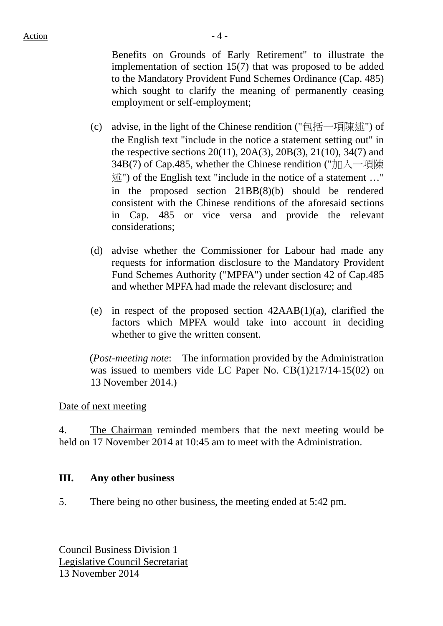Benefits on Grounds of Early Retirement" to illustrate the implementation of section 15(7) that was proposed to be added to the Mandatory Provident Fund Schemes Ordinance (Cap. 485) which sought to clarify the meaning of permanently ceasing employment or self-employment;

- (c) advise, in the light of the Chinese rendition ("包括一項陳述") of the English text "include in the notice a statement setting out" in the respective sections 20(11), 20A(3), 20B(3), 21(10), 34(7) and 34B(7) of Cap.485, whether the Chinese rendition ("加入一項陳 述") of the English text "include in the notice of a statement …" in the proposed section 21BB(8)(b) should be rendered consistent with the Chinese renditions of the aforesaid sections in Cap. 485 or vice versa and provide the relevant considerations;
- (d) advise whether the Commissioner for Labour had made any requests for information disclosure to the Mandatory Provident Fund Schemes Authority ("MPFA") under section 42 of Cap.485 and whether MPFA had made the relevant disclosure; and
- (e) in respect of the proposed section 42AAB(1)(a), clarified the factors which MPFA would take into account in deciding whether to give the written consent.

 (*Post-meeting note*: The information provided by the Administration was issued to members vide LC Paper No. CB(1)217/14-15(02) on 13 November 2014.)

## Date of next meeting

4. The Chairman reminded members that the next meeting would be held on 17 November 2014 at 10:45 am to meet with the Administration.

### **III. Any other business**

5. There being no other business, the meeting ended at 5:42 pm.

Council Business Division 1 Legislative Council Secretariat 13 November 2014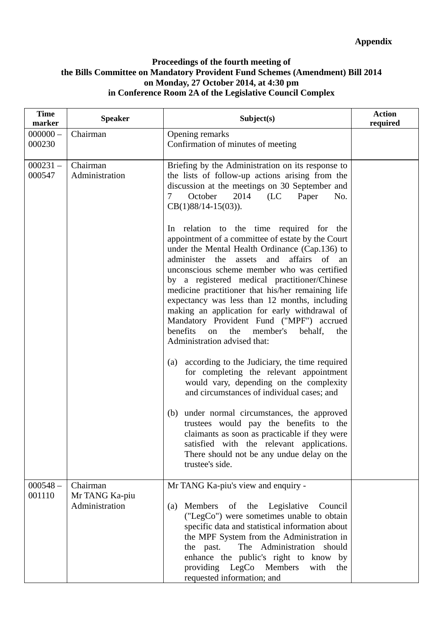### **Proceedings of the fourth meeting of the Bills Committee on Mandatory Provident Fund Schemes (Amendment) Bill 2014 on Monday, 27 October 2014, at 4:30 pm in Conference Room 2A of the Legislative Council Complex**

| <b>Time</b><br>marker | <b>Speaker</b>                   | Subject(s)                                                                                                                                                                                                                                                                                                                                                                                                                                                                                                                                                                                                                                                                                                                                                                                                                                                                                                                                                                                                                                 | <b>Action</b><br>required |
|-----------------------|----------------------------------|--------------------------------------------------------------------------------------------------------------------------------------------------------------------------------------------------------------------------------------------------------------------------------------------------------------------------------------------------------------------------------------------------------------------------------------------------------------------------------------------------------------------------------------------------------------------------------------------------------------------------------------------------------------------------------------------------------------------------------------------------------------------------------------------------------------------------------------------------------------------------------------------------------------------------------------------------------------------------------------------------------------------------------------------|---------------------------|
| $000000 -$<br>000230  | Chairman                         | Opening remarks<br>Confirmation of minutes of meeting                                                                                                                                                                                                                                                                                                                                                                                                                                                                                                                                                                                                                                                                                                                                                                                                                                                                                                                                                                                      |                           |
| $000231 -$<br>000547  | Chairman<br>Administration       | Briefing by the Administration on its response to<br>the lists of follow-up actions arising from the<br>discussion at the meetings on 30 September and<br>October<br>2014<br>$\tau$<br>(LC)<br>Paper<br>No.<br>$CB(1)88/14-15(03)).$                                                                                                                                                                                                                                                                                                                                                                                                                                                                                                                                                                                                                                                                                                                                                                                                       |                           |
|                       |                                  | In relation to the time required for the<br>appointment of a committee of estate by the Court<br>under the Mental Health Ordinance (Cap.136) to<br>administer<br>affairs<br>the<br>and<br>of<br>assets<br>an<br>unconscious scheme member who was certified<br>by a registered medical practitioner/Chinese<br>medicine practitioner that his/her remaining life<br>expectancy was less than 12 months, including<br>making an application for early withdrawal of<br>Mandatory Provident Fund ("MPF") accrued<br>benefits<br>the<br>behalf,<br>on<br>member's<br>the<br>Administration advised that:<br>according to the Judiciary, the time required<br>(a)<br>for completing the relevant appointment<br>would vary, depending on the complexity<br>and circumstances of individual cases; and<br>under normal circumstances, the approved<br>(b)<br>trustees would pay the benefits to the<br>claimants as soon as practicable if they were<br>satisfied with the relevant applications.<br>There should not be any undue delay on the |                           |
| $000548 -$            | Chairman                         | trustee's side.<br>Mr TANG Ka-piu's view and enquiry -                                                                                                                                                                                                                                                                                                                                                                                                                                                                                                                                                                                                                                                                                                                                                                                                                                                                                                                                                                                     |                           |
| 001110                | Mr TANG Ka-piu<br>Administration | of the Legislative<br>Members<br>Council<br>(a)<br>("LegCo") were sometimes unable to obtain<br>specific data and statistical information about<br>the MPF System from the Administration in<br>The Administration should<br>the past.<br>enhance the public's right to know by<br>providing LegCo Members<br>with<br>the<br>requested information; and                                                                                                                                                                                                                                                                                                                                                                                                                                                                                                                                                                                                                                                                                    |                           |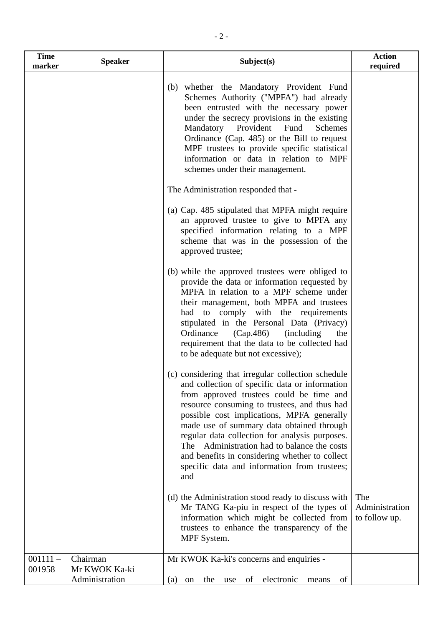| <b>Time</b><br>marker | <b>Speaker</b>            | Subject(s)                                                                                                                                                                                                                                                                                                                                                                                                                                                                                            | <b>Action</b><br>required              |
|-----------------------|---------------------------|-------------------------------------------------------------------------------------------------------------------------------------------------------------------------------------------------------------------------------------------------------------------------------------------------------------------------------------------------------------------------------------------------------------------------------------------------------------------------------------------------------|----------------------------------------|
|                       |                           | (b) whether the Mandatory Provident Fund<br>Schemes Authority ("MPFA") had already<br>been entrusted with the necessary power<br>under the secrecy provisions in the existing<br>Mandatory<br>Provident Fund<br><b>Schemes</b><br>Ordinance (Cap. 485) or the Bill to request<br>MPF trustees to provide specific statistical<br>information or data in relation to MPF<br>schemes under their management.                                                                                            |                                        |
|                       |                           | The Administration responded that -                                                                                                                                                                                                                                                                                                                                                                                                                                                                   |                                        |
|                       |                           | (a) Cap. 485 stipulated that MPFA might require<br>an approved trustee to give to MPFA any<br>specified information relating to a MPF<br>scheme that was in the possession of the<br>approved trustee;                                                                                                                                                                                                                                                                                                |                                        |
|                       |                           | (b) while the approved trustees were obliged to<br>provide the data or information requested by<br>MPFA in relation to a MPF scheme under<br>their management, both MPFA and trustees<br>had to comply with the requirements<br>stipulated in the Personal Data (Privacy)<br>Ordinance<br>(Cap.486)<br><i>(including)</i><br>the<br>requirement that the data to be collected had<br>to be adequate but not excessive);                                                                               |                                        |
|                       |                           | (c) considering that irregular collection schedule<br>and collection of specific data or information<br>from approved trustees could be time and<br>resource consuming to trustees, and thus had<br>possible cost implications, MPFA generally<br>made use of summary data obtained through<br>regular data collection for analysis purposes.<br>The Administration had to balance the costs<br>and benefits in considering whether to collect<br>specific data and information from trustees;<br>and |                                        |
|                       |                           | (d) the Administration stood ready to discuss with<br>Mr TANG Ka-piu in respect of the types of<br>information which might be collected from<br>trustees to enhance the transparency of the<br>MPF System.                                                                                                                                                                                                                                                                                            | The<br>Administration<br>to follow up. |
| $001111 -$<br>001958  | Chairman<br>Mr KWOK Ka-ki | Mr KWOK Ka-ki's concerns and enquiries -                                                                                                                                                                                                                                                                                                                                                                                                                                                              |                                        |
|                       | Administration            | the use<br>electronic<br>(a)<br>of<br>of<br>on<br>means                                                                                                                                                                                                                                                                                                                                                                                                                                               |                                        |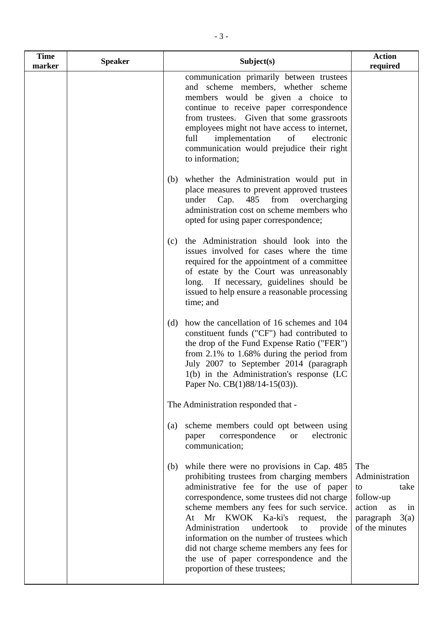| <b>Time</b><br>marker | <b>Speaker</b> | Subject(s)                                                                                                                                                                                                                                                                                                                                                                                                                                                                                                | <b>Action</b><br>required                                                                                     |
|-----------------------|----------------|-----------------------------------------------------------------------------------------------------------------------------------------------------------------------------------------------------------------------------------------------------------------------------------------------------------------------------------------------------------------------------------------------------------------------------------------------------------------------------------------------------------|---------------------------------------------------------------------------------------------------------------|
|                       |                | communication primarily between trustees<br>and scheme members, whether scheme<br>members would be given a choice to<br>continue to receive paper correspondence<br>from trustees. Given that some grassroots<br>employees might not have access to internet,<br>full<br>implementation<br>of<br>electronic<br>communication would prejudice their right<br>to information;                                                                                                                               |                                                                                                               |
|                       |                | whether the Administration would put in<br>(b)<br>place measures to prevent approved trustees<br>from<br>485<br>under<br>Cap.<br>overcharging<br>administration cost on scheme members who<br>opted for using paper correspondence;                                                                                                                                                                                                                                                                       |                                                                                                               |
|                       |                | the Administration should look into the<br>(c)<br>issues involved for cases where the time<br>required for the appointment of a committee<br>of estate by the Court was unreasonably<br>long. If necessary, guidelines should be<br>issued to help ensure a reasonable processing<br>time; and                                                                                                                                                                                                            |                                                                                                               |
|                       |                | how the cancellation of 16 schemes and 104<br>(d)<br>constituent funds ("CF") had contributed to<br>the drop of the Fund Expense Ratio ("FER")<br>from $2.1\%$ to $1.68\%$ during the period from<br>July 2007 to September 2014 (paragraph<br>1(b) in the Administration's response (LC<br>Paper No. CB(1)88/14-15(03)).                                                                                                                                                                                 |                                                                                                               |
|                       |                | The Administration responded that -                                                                                                                                                                                                                                                                                                                                                                                                                                                                       |                                                                                                               |
|                       |                | scheme members could opt between using<br>(a)<br>correspondence<br>electronic<br><b>or</b><br>paper<br>communication;                                                                                                                                                                                                                                                                                                                                                                                     |                                                                                                               |
|                       |                | while there were no provisions in Cap. 485<br>(b)<br>prohibiting trustees from charging members<br>administrative fee for the use of paper<br>correspondence, some trustees did not charge<br>scheme members any fees for such service.<br>At Mr KWOK Ka-ki's<br>request,<br>the<br>Administration<br>undertook<br>provide<br>to<br>information on the number of trustees which<br>did not charge scheme members any fees for<br>the use of paper correspondence and the<br>proportion of these trustees; | The<br>Administration<br>take<br>to<br>follow-up<br>action<br>as<br>in<br>paragraph<br>3(a)<br>of the minutes |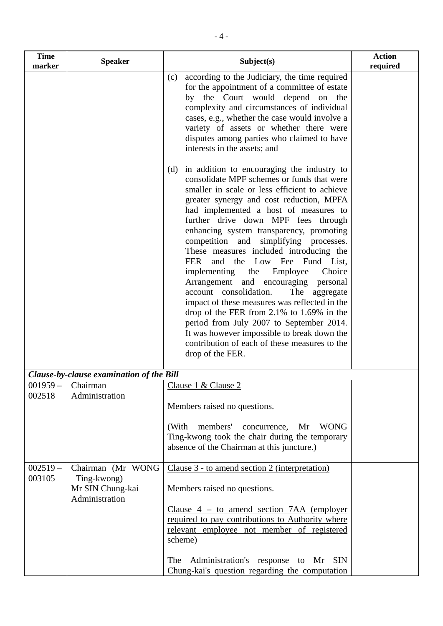| <b>Time</b><br>marker | <b>Speaker</b>                                                         | Subject(s)                                                                                                                                                                                                                                                                                                                                                                                                                                                                                                                                                                                                                                                                                                                                                                                                                                              | <b>Action</b><br>required |
|-----------------------|------------------------------------------------------------------------|---------------------------------------------------------------------------------------------------------------------------------------------------------------------------------------------------------------------------------------------------------------------------------------------------------------------------------------------------------------------------------------------------------------------------------------------------------------------------------------------------------------------------------------------------------------------------------------------------------------------------------------------------------------------------------------------------------------------------------------------------------------------------------------------------------------------------------------------------------|---------------------------|
|                       |                                                                        | according to the Judiciary, the time required<br>(c)<br>for the appointment of a committee of estate<br>by the Court would depend on the<br>complexity and circumstances of individual<br>cases, e.g., whether the case would involve a<br>variety of assets or whether there were<br>disputes among parties who claimed to have<br>interests in the assets; and                                                                                                                                                                                                                                                                                                                                                                                                                                                                                        |                           |
|                       |                                                                        | in addition to encouraging the industry to<br>(d)<br>consolidate MPF schemes or funds that were<br>smaller in scale or less efficient to achieve<br>greater synergy and cost reduction, MPFA<br>had implemented a host of measures to<br>further drive down MPF fees through<br>enhancing system transparency, promoting<br>competition and simplifying processes.<br>These measures included introducing the<br><b>FER</b><br>and the Low Fee Fund List,<br>implementing the<br>Employee<br>Choice<br>Arrangement and encouraging personal<br>account consolidation.<br>The<br>aggregate<br>impact of these measures was reflected in the<br>drop of the FER from 2.1% to 1.69% in the<br>period from July 2007 to September 2014.<br>It was however impossible to break down the<br>contribution of each of these measures to the<br>drop of the FER. |                           |
|                       | Clause-by-clause examination of the Bill                               |                                                                                                                                                                                                                                                                                                                                                                                                                                                                                                                                                                                                                                                                                                                                                                                                                                                         |                           |
| $001959-$<br>002518   | Chairman<br>Administration                                             | Clause 1 & Clause 2<br>Members raised no questions.<br>members' concurrence,<br>Mr<br>(With<br>WONG<br>Ting-kwong took the chair during the temporary<br>absence of the Chairman at this juncture.)                                                                                                                                                                                                                                                                                                                                                                                                                                                                                                                                                                                                                                                     |                           |
| $002519 -$<br>003105  | Chairman (Mr WONG<br>Ting-kwong)<br>Mr SIN Chung-kai<br>Administration | Clause 3 - to amend section 2 (interpretation)<br>Members raised no questions.<br>Clause $4 -$ to amend section $7AA$ (employer<br>required to pay contributions to Authority where<br>relevant employee not member of registered<br>scheme)<br>The Administration's response to Mr<br>SIN<br>Chung-kai's question regarding the computation                                                                                                                                                                                                                                                                                                                                                                                                                                                                                                            |                           |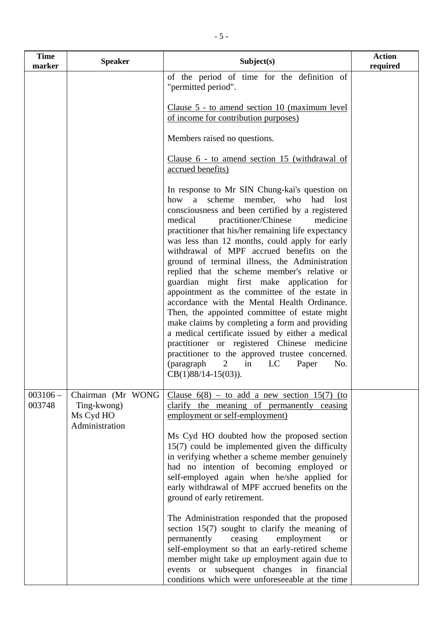| <b>Time</b><br>marker | <b>Speaker</b>                                                  | Subject(s)                                                                                                                                                                                                                                                                                                                                                                                                                                                                                                                                                                                                                                                                                                                                                                                                                                                                                                                                             | <b>Action</b><br>required |
|-----------------------|-----------------------------------------------------------------|--------------------------------------------------------------------------------------------------------------------------------------------------------------------------------------------------------------------------------------------------------------------------------------------------------------------------------------------------------------------------------------------------------------------------------------------------------------------------------------------------------------------------------------------------------------------------------------------------------------------------------------------------------------------------------------------------------------------------------------------------------------------------------------------------------------------------------------------------------------------------------------------------------------------------------------------------------|---------------------------|
|                       |                                                                 | of the period of time for the definition of<br>"permitted period".                                                                                                                                                                                                                                                                                                                                                                                                                                                                                                                                                                                                                                                                                                                                                                                                                                                                                     |                           |
|                       |                                                                 | Clause 5 - to amend section 10 (maximum level)<br>of income for contribution purposes)                                                                                                                                                                                                                                                                                                                                                                                                                                                                                                                                                                                                                                                                                                                                                                                                                                                                 |                           |
|                       |                                                                 | Members raised no questions.                                                                                                                                                                                                                                                                                                                                                                                                                                                                                                                                                                                                                                                                                                                                                                                                                                                                                                                           |                           |
|                       |                                                                 | Clause 6 - to amend section 15 (withdrawal of<br>accrued benefits)                                                                                                                                                                                                                                                                                                                                                                                                                                                                                                                                                                                                                                                                                                                                                                                                                                                                                     |                           |
|                       |                                                                 | In response to Mr SIN Chung-kai's question on<br>member, who had<br>how<br>scheme<br>a<br>lost<br>consciousness and been certified by a registered<br>medical<br>practitioner/Chinese<br>medicine<br>practitioner that his/her remaining life expectancy<br>was less than 12 months, could apply for early<br>withdrawal of MPF accrued benefits on the<br>ground of terminal illness, the Administration<br>replied that the scheme member's relative or<br>guardian might first make application for<br>appointment as the committee of the estate in<br>accordance with the Mental Health Ordinance.<br>Then, the appointed committee of estate might<br>make claims by completing a form and providing<br>a medical certificate issued by either a medical<br>practitioner or registered Chinese medicine<br>practitioner to the approved trustee concerned.<br>(paragraph<br>$\overline{2}$<br>in<br>LC<br>Paper<br>No.<br>$CB(1)88/14-15(03)$ ). |                           |
| $003106 -$<br>003748  | Chairman (Mr WONG<br>Ting-kwong)<br>Ms Cyd HO<br>Administration | Clause $6(8)$ – to add a new section 15(7) (to<br>clarify the meaning of permanently ceasing<br>employment or self-employment)                                                                                                                                                                                                                                                                                                                                                                                                                                                                                                                                                                                                                                                                                                                                                                                                                         |                           |
|                       |                                                                 | Ms Cyd HO doubted how the proposed section<br>$15(7)$ could be implemented given the difficulty<br>in verifying whether a scheme member genuinely<br>had no intention of becoming employed or<br>self-employed again when he/she applied for<br>early withdrawal of MPF accrued benefits on the<br>ground of early retirement.                                                                                                                                                                                                                                                                                                                                                                                                                                                                                                                                                                                                                         |                           |
|                       |                                                                 | The Administration responded that the proposed<br>section $15(7)$ sought to clarify the meaning of<br>permanently<br>ceasing<br>employment<br><b>or</b><br>self-employment so that an early-retired scheme<br>member might take up employment again due to<br>events or subsequent changes in financial<br>conditions which were unforeseeable at the time                                                                                                                                                                                                                                                                                                                                                                                                                                                                                                                                                                                             |                           |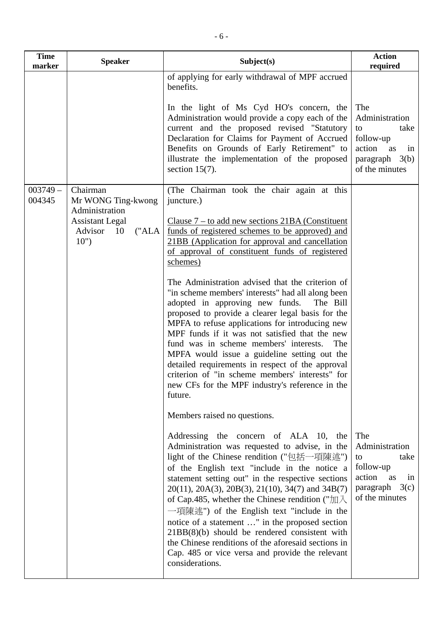| <b>Time</b><br>marker | <b>Speaker</b>                                            | Subject(s)                                                                                                                                                                                                                                                                                                                                                                                                                                                                                                                                                                                                                                                          | <b>Action</b><br>required                                                                                     |
|-----------------------|-----------------------------------------------------------|---------------------------------------------------------------------------------------------------------------------------------------------------------------------------------------------------------------------------------------------------------------------------------------------------------------------------------------------------------------------------------------------------------------------------------------------------------------------------------------------------------------------------------------------------------------------------------------------------------------------------------------------------------------------|---------------------------------------------------------------------------------------------------------------|
|                       |                                                           | of applying for early withdrawal of MPF accrued<br>benefits.                                                                                                                                                                                                                                                                                                                                                                                                                                                                                                                                                                                                        |                                                                                                               |
|                       |                                                           | In the light of Ms Cyd HO's concern, the<br>Administration would provide a copy each of the<br>current and the proposed revised "Statutory<br>Declaration for Claims for Payment of Accrued<br>Benefits on Grounds of Early Retirement" to<br>illustrate the implementation of the proposed<br>section $15(7)$ .                                                                                                                                                                                                                                                                                                                                                    | The<br>Administration<br>to<br>take<br>follow-up<br>action<br>as<br>in<br>paragraph $3(b)$<br>of the minutes  |
| $003749 -$<br>004345  | Chairman<br>Mr WONG Ting-kwong<br>Administration          | (The Chairman took the chair again at this<br>juncture.)                                                                                                                                                                                                                                                                                                                                                                                                                                                                                                                                                                                                            |                                                                                                               |
|                       | <b>Assistant Legal</b><br>Advisor<br>("ALA")<br>10<br>10" | Clause $7 -$ to add new sections $21BA$ (Constituent<br>funds of registered schemes to be approved) and<br>21BB (Application for approval and cancellation<br>of approval of constituent funds of registered<br>schemes)                                                                                                                                                                                                                                                                                                                                                                                                                                            |                                                                                                               |
|                       |                                                           | The Administration advised that the criterion of<br>"in scheme members' interests" had all along been<br>adopted in approving new funds.<br>The Bill<br>proposed to provide a clearer legal basis for the<br>MPFA to refuse applications for introducing new<br>MPF funds if it was not satisfied that the new<br>fund was in scheme members' interests.<br>The<br>MPFA would issue a guideline setting out the<br>detailed requirements in respect of the approval<br>criterion of "in scheme members' interests" for<br>new CFs for the MPF industry's reference in the<br>future.                                                                                |                                                                                                               |
|                       |                                                           | Members raised no questions.                                                                                                                                                                                                                                                                                                                                                                                                                                                                                                                                                                                                                                        |                                                                                                               |
|                       |                                                           | Addressing the concern of ALA 10, the<br>Administration was requested to advise, in the<br>light of the Chinese rendition ("包括一項陳述")<br>of the English text "include in the notice a<br>statement setting out" in the respective sections<br>$20(11)$ , $20A(3)$ , $20B(3)$ , $21(10)$ , $34(7)$ and $34B(7)$<br>of Cap.485, whether the Chinese rendition (" $\text{Im}\lambda$ )<br>一項陳述") of the English text "include in the<br>notice of a statement " in the proposed section<br>$21BB(8)(b)$ should be rendered consistent with<br>the Chinese renditions of the aforesaid sections in<br>Cap. 485 or vice versa and provide the relevant<br>considerations. | The<br>Administration<br>take<br>to<br>follow-up<br>action<br>as<br>in<br>paragraph<br>3(c)<br>of the minutes |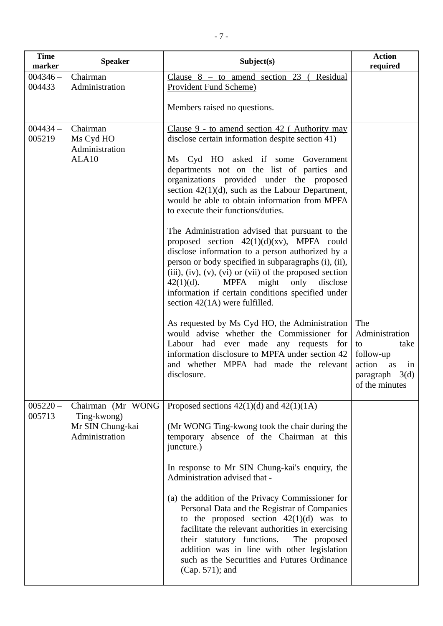| <b>Time</b><br>marker | <b>Speaker</b>                                                         | Subject(s)                                                                                                                                                                                                                                                                                                                                                                                                                                                                                                                                                                                                                                                                                                                            | <b>Action</b><br>required                                                                                    |
|-----------------------|------------------------------------------------------------------------|---------------------------------------------------------------------------------------------------------------------------------------------------------------------------------------------------------------------------------------------------------------------------------------------------------------------------------------------------------------------------------------------------------------------------------------------------------------------------------------------------------------------------------------------------------------------------------------------------------------------------------------------------------------------------------------------------------------------------------------|--------------------------------------------------------------------------------------------------------------|
| $004346 -$<br>004433  | Chairman<br>Administration                                             | Clause $8 -$ to amend section 23 (<br>Residual<br><b>Provident Fund Scheme)</b>                                                                                                                                                                                                                                                                                                                                                                                                                                                                                                                                                                                                                                                       |                                                                                                              |
|                       |                                                                        |                                                                                                                                                                                                                                                                                                                                                                                                                                                                                                                                                                                                                                                                                                                                       |                                                                                                              |
|                       |                                                                        | Members raised no questions.                                                                                                                                                                                                                                                                                                                                                                                                                                                                                                                                                                                                                                                                                                          |                                                                                                              |
| $004434 -$<br>005219  | Chairman<br>Ms Cyd HO<br>Administration<br>ALA10                       | Clause $9$ - to amend section 42 (Authority may<br>disclose certain information despite section 41)<br>Ms Cyd HO asked if some Government<br>departments not on the list of parties and<br>organizations provided under the proposed<br>section $42(1)(d)$ , such as the Labour Department,<br>would be able to obtain information from MPFA<br>to execute their functions/duties.<br>The Administration advised that pursuant to the<br>proposed section $42(1)(d)(xv)$ , MPFA could<br>disclose information to a person authorized by a<br>person or body specified in subparagraphs (i), (ii),<br>$(iii)$ , $(iv)$ , $(v)$ , $(vi)$ or $(vii)$ of the proposed section<br><b>MPFA</b><br>might<br>only<br>$42(1)(d)$ .<br>disclose |                                                                                                              |
|                       |                                                                        | information if certain conditions specified under<br>section $42(1A)$ were fulfilled.<br>As requested by Ms Cyd HO, the Administration<br>would advise whether the Commissioner for<br>Labour had ever made any requests<br>for<br>information disclosure to MPFA under section 42<br>and whether MPFA had made the relevant<br>disclosure.<br>Proposed sections $42(1)(d)$ and $42(1)(1)$                                                                                                                                                                                                                                                                                                                                            | The<br>Administration<br>take<br>to<br>follow-up<br>action<br>as<br>in<br>paragraph $3(d)$<br>of the minutes |
| $005220 -$<br>005713  | Chairman (Mr WONG<br>Ting-kwong)<br>Mr SIN Chung-kai<br>Administration | (Mr WONG Ting-kwong took the chair during the<br>temporary absence of the Chairman at this<br>juncture.)<br>In response to Mr SIN Chung-kai's enquiry, the<br>Administration advised that -<br>(a) the addition of the Privacy Commissioner for<br>Personal Data and the Registrar of Companies<br>to the proposed section $42(1)(d)$ was to<br>facilitate the relevant authorities in exercising<br>their statutory functions.<br>The proposed<br>addition was in line with other legislation<br>such as the Securities and Futures Ordinance<br>(Cap. 571); and                                                                                                                                                                     |                                                                                                              |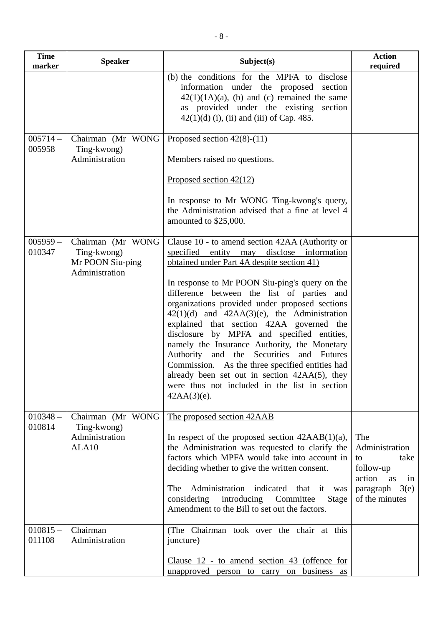| <b>Time</b><br>marker | <b>Speaker</b>                                                         | Subject(s)                                                                                                                                                                                                                                                                                                                                                                                                                                                                                                                                                         | <b>Action</b><br>required                                                                                     |
|-----------------------|------------------------------------------------------------------------|--------------------------------------------------------------------------------------------------------------------------------------------------------------------------------------------------------------------------------------------------------------------------------------------------------------------------------------------------------------------------------------------------------------------------------------------------------------------------------------------------------------------------------------------------------------------|---------------------------------------------------------------------------------------------------------------|
|                       |                                                                        | (b) the conditions for the MPFA to disclose<br>information under the proposed<br>section<br>$42(1)(1A)(a)$ , (b) and (c) remained the same<br>as provided under the existing section<br>$42(1)(d)$ (i), (ii) and (iii) of Cap. 485.                                                                                                                                                                                                                                                                                                                                |                                                                                                               |
| $005714-$<br>005958   | Chairman (Mr WONG<br>Ting-kwong)<br>Administration                     | Proposed section $42(8)$ - $(11)$<br>Members raised no questions.                                                                                                                                                                                                                                                                                                                                                                                                                                                                                                  |                                                                                                               |
|                       |                                                                        | Proposed section $42(12)$<br>In response to Mr WONG Ting-kwong's query,<br>the Administration advised that a fine at level 4<br>amounted to \$25,000.                                                                                                                                                                                                                                                                                                                                                                                                              |                                                                                                               |
| $005959 -$<br>010347  | Chairman (Mr WONG<br>Ting-kwong)<br>Mr POON Siu-ping<br>Administration | Clause 10 - to amend section 42AA (Authority or<br>specified entity may disclose information<br>obtained under Part 4A despite section 41)                                                                                                                                                                                                                                                                                                                                                                                                                         |                                                                                                               |
|                       |                                                                        | In response to Mr POON Siu-ping's query on the<br>difference between the list of parties and<br>organizations provided under proposed sections<br>$42(1)(d)$ and $42AA(3)(e)$ , the Administration<br>explained that section 42AA governed the<br>disclosure by MPFA and specified entities,<br>namely the Insurance Authority, the Monetary<br>Authority and the<br>Securities and Futures<br>Commission. As the three specified entities had<br>already been set out in section 42AA(5), they<br>were thus not included in the list in section<br>$42AA(3)(e)$ . |                                                                                                               |
| $010348 -$<br>010814  | Chairman (Mr WONG<br>Ting-kwong)<br>Administration<br>ALA10            | The proposed section 42AAB<br>In respect of the proposed section $42AAB(1)(a)$ ,<br>the Administration was requested to clarify the<br>factors which MPFA would take into account in<br>deciding whether to give the written consent.<br>Administration indicated<br>The<br>that it<br>was<br>considering introducing Committee<br>Stage<br>Amendment to the Bill to set out the factors.                                                                                                                                                                          | The<br>Administration<br>to<br>take<br>follow-up<br>action<br>as<br>in<br>3(e)<br>paragraph<br>of the minutes |
| $010815 -$<br>011108  | Chairman<br>Administration                                             | (The Chairman took over the chair at this<br>juncture)<br>Clause 12 - to amend section 43 (offence for<br>unapproved person to carry on<br>business<br>as                                                                                                                                                                                                                                                                                                                                                                                                          |                                                                                                               |